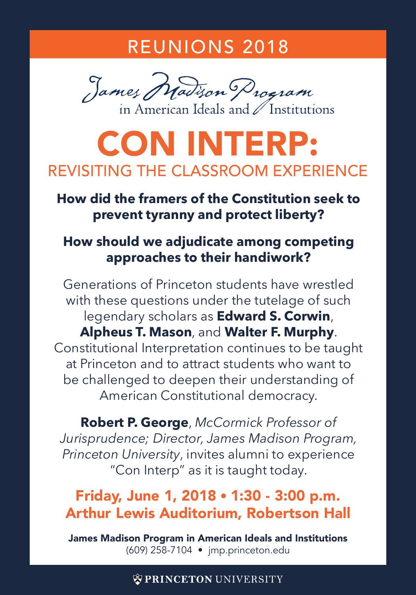## REUNIONS 2018



# CON INTERP: REVISITING THE CLASSROOM EXPERIENCE

#### **How did the framers of the Constitution seek to prevent tyranny and protect liberty?**

#### **How should we adjudicate among competing approaches to their handiwork?**

Generations of Princeton students have wrestled with these questions under the tutelage of such legendary scholars as **Edward S. Corwin**, **Alpheus T. Mason**, and **Walter F. Murphy**. Constitutional Interpretation continues to be taught at Princeton and to attract students who want to be challenged to deepen their understanding of American Constitutional democracy.

**Robert P. George**, *McCormick Professor of Jurisprudence; Director, James Madison Program, Princeton University*, invites alumni to experience "Con Interp" as it is taught today.

### Friday, June 1, 2018 • 1:30 - 3:00 p.m. Arthur Lewis Auditorium, Robertson Hall

James Madison Program in American Ideals and Institutions (609) 258-7104 • jmp.princeton.edu

#### **WPRINCETON UNIVERSITY**